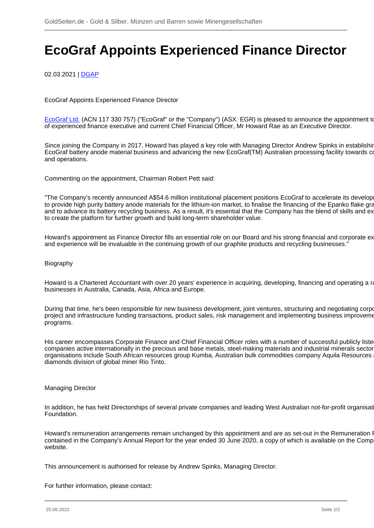# **EcoGraf Appoints Experienced Finance Director**

02.03.2021 | [DGAP](/profil/228--DGAP)

EcoGraf Appoints Experienced Finance Director

[EcoGraf Ltd.](/minen/2778--EcoGraf-Ltd) (ACN 117 330 757) ("EcoGraf" or the "Company") (ASX: EGR) is pleased to announce the appointment to of experienced finance executive and current Chief Financial Officer, Mr Howard Rae as an Executive Director.

Since joining the Company in 2017, Howard has played a key role with Managing Director Andrew Spinks in establishir EcoGraf battery anode material business and advancing the new EcoGraf(TM) Australian processing facility towards co and operations.

Commenting on the appointment, Chairman Robert Pett said:

"The Company's recently announced A\$54.6 million institutional placement positions EcoGraf to accelerate its develop to provide high purity battery anode materials for the lithium-ion market, to finalise the financing of the Epanko flake graphic and to advance its battery recycling business. As a result, it's essential that the Company has the blend of skills and ex to create the platform for further growth and build long-term shareholder value.

Howard's appointment as Finance Director fills an essential role on our Board and his strong financial and corporate ex and experience will be invaluable in the continuing growth of our graphite products and recycling businesses."

### Biography

Howard is a Chartered Accountant with over 20 years' experience in acquiring, developing, financing and operating a range of businesses in Australia, Canada, Asia, Africa and Europe.

During that time, he's been responsible for new business development, joint ventures, structuring and negotiating corpo project and infrastructure funding transactions, product sales, risk management and implementing business improvement programs.

His career encompasses Corporate Finance and Chief Financial Officer roles with a number of successful publicly liste companies active internationally in the precious and base metals, steel-making materials and industrial minerals sector organisations include South African resources group Kumba, Australian bulk commodities company Aquila Resources diamonds division of global miner Rio Tinto.

#### Managing Director

In addition, he has held Directorships of several private companies and leading West Australian not-for-profit organisat Foundation.

Howard's remuneration arrangements remain unchanged by this appointment and are as set-out in the Remuneration I contained in the Company's Annual Report for the year ended 30 June 2020, a copy of which is available on the Company's website.

This announcement is authorised for release by Andrew Spinks, Managing Director.

For further information, please contact: